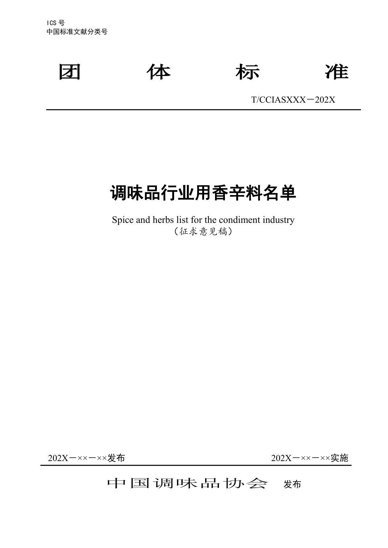ICS 号 中国标准文献分类号



团 体 标 准

T/CCIASⅩⅩⅩ-202X

# 调味品行业用香辛料名单

Spice and herbs list for the condiment industry (征求意见稿)

202X-××-××发布 202X-××-××实施

# 中国调味品协会 糊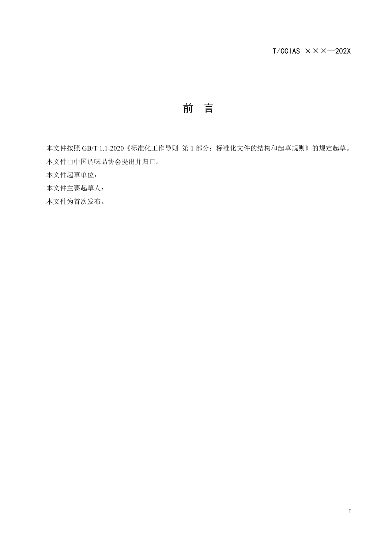前 言

本文件按照 GB/T 1.1-2020《标准化工作导则 第 1 部分: 标准化文件的结构和起草规则》的规定起草。 本文件由中国调味品协会提出并归口。

本文件起草单位:

本文件主要起草人:

本文件为首次发布。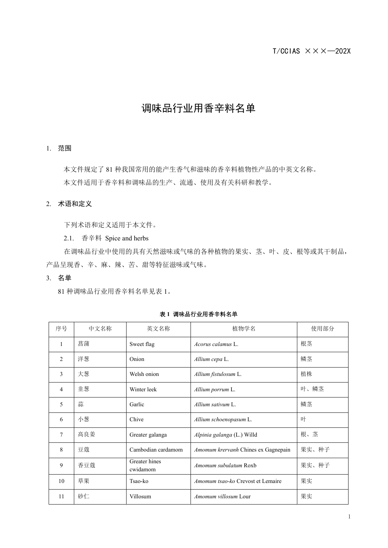#### $T/CCIAS \times \times \times$  -202X

# 调味品行业用香辛料名单

#### 1. 范围

本文件规定了 81 种我国常用的能产生香气和滋味的香辛料植物性产品的中英文名称。 本文件适用于香辛料和调味品的生产、流通、使用及有关科研和教学。

#### 2. 术语和定义

下列术语和定义适用于本文件。

2.1. 香辛料 Spice and herbs

在调味品行业中使用的具有天然滋味或气味的各种植物的果实、茎、叶、皮、根等或其干制品, 产品呈现香、辛、麻、辣、苦、甜等特征滋味或气味。

#### 3. 名单

81 种调味品行业用香辛料名单见表 1。

| 序号             | 中文名称 | 英文名称                      | 植物学名                                | 使用部分  |
|----------------|------|---------------------------|-------------------------------------|-------|
| 1              | 菖蒲   | Sweet flag                | Acorus calamus L.                   | 根茎    |
| $\overline{2}$ | 洋葱   | Onion                     | Allium cepa L.                      | 鳞茎    |
| 3              | 大葱   | Welsh onion               | Allium fistulosum L.                | 植株    |
| $\overline{4}$ | 韭葱   | Winter leek               | Allium porrum L.                    | 叶、鳞茎  |
| 5              | 蒜    | Garlic                    | Allium sativum L.                   | 鳞茎    |
| 6              | 小葱   | Chive                     | Allium schoenopasum L.              | 叶     |
| $\tau$         | 高良姜  | Greater galanga           | Alpinia galanga (L.) Willd          | 根、茎   |
| 8              | 豆蔻   | Cambodian cardamom        | Amomum krervanh Chines ex Gagnepain | 果实、种子 |
| 9              | 香豆蔻  | Greater hines<br>cwidamom | Amomum subulatum Roxb               | 果实、种子 |
| 10             | 草果   | Tsao-ko                   | Amomum tsao-ko Crevost et Lemaire   | 果实    |
| 11             | 砂仁   | Villosum                  | Amomum villosum Lour                | 果实    |

表 **1** 调味品行业用香辛料名单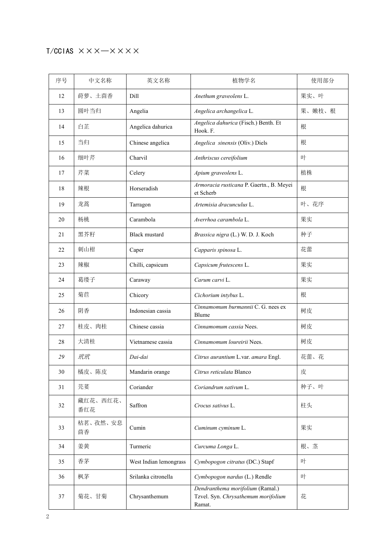# $T/CCIAS \times \times \times \times \times \times \times$

| 序号 | 中文名称            | 英文名称                   | 植物学名                                                                              | 使用部分   |
|----|-----------------|------------------------|-----------------------------------------------------------------------------------|--------|
| 12 | 莳萝、土茴香          | Dill                   | Anethum graveolens L.                                                             | 果实、叶   |
| 13 | 圆叶当归            | Angelia                | Angelica archangelica L.                                                          | 果、嫩枝、根 |
| 14 | 白芷              | Angelica dahurica      | Angelica dahurica (Fisch.) Benth. Et<br>Hook. F.                                  | 根      |
| 15 | 当归              | Chinese angelica       | Angelica sinensis (Oliv.) Diels                                                   | 根      |
| 16 | 细叶芹             | Charvil                | Anthriscus cereifolium                                                            | 叶      |
| 17 | 芹菜              | Celery                 | Apium graveolens L.                                                               | 植株     |
| 18 | 辣根              | Horseradish            | Armoracia rusticana P. Gaertn., B. Meyei<br>et Scherb                             | 根      |
| 19 | 龙蒿              | Tarragon               | Artemisia dracunculus L.                                                          | 叶、花序   |
| 20 | 杨桃              | Carambola              | Averrhoa carambola L.                                                             | 果实     |
| 21 | 黑芥籽             | <b>Black mustard</b>   | Brassica nigra (L.) W. D. J. Koch                                                 | 种子     |
| 22 | 刺山柑             | Caper                  | Capparis spinosa L.                                                               | 花蕾     |
| 23 | 辣椒              | Chilli, capsicum       | Capsicum frutescens L.                                                            | 果实     |
| 24 | 葛缕子             | Caraway                | Carum carvi L.                                                                    | 果实     |
| 25 | 菊苣              | Chicory                | Cichorium intybus L.                                                              | 根      |
| 26 | 阴香              | Indonesian cassia      | Cinnamomum burmannii C. G. nees ex<br>Blume                                       | 树皮     |
| 27 | 桂皮、肉桂           | Chinese cassia         | Cinnamomum cassia Nees.                                                           | 树皮     |
| 28 | 大清桂             | Vietnamese cassia      | Cinnamomum loureirii Nees.                                                        | 树皮     |
| 29 | 玳玳              | Dai-dai                | Citrus aurantium L.var. amara Engl.                                               | 花蕾、花   |
| 30 | 橘皮、陈皮           | Mandarin orange        | Citrus reticulata Blanco                                                          | 皮      |
| 31 | 芫荽              | Coriander              | Coriandrum sativum L.                                                             | 种子、叶   |
| 32 | 藏红花、西红花、<br>番红花 | Saffron                | Crocus sativus L.                                                                 | 柱头     |
| 33 | 枯茗、孜然、安息<br>茴香  | Cumin                  | Cuminum cyminum L.                                                                | 果实     |
| 34 | 姜黄              | Turmeric               | Curcuma Longa L.                                                                  | 根、茎    |
| 35 | 香茅              | West Indian lemongrass | Cymbopogon citratus (DC.) Stapf                                                   | 叶      |
| 36 | 枫茅              | Srilanka citronella    | Cymbopogon nardus (L.) Rendle                                                     | 叶      |
| 37 | 菊花、甘菊           | Chrysanthemum          | Dendranthema morifolium (Ramal.)<br>Tzvel. Syn. Chrysathemum morifolium<br>Ramat. | 花      |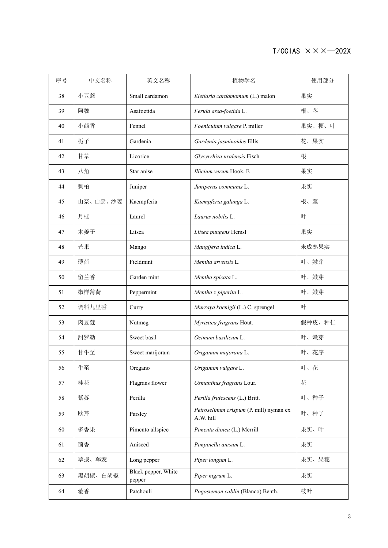### $T/CCIAS \times X \times -202X$

| 序号 | 中文名称     | 英文名称                          | 植物学名                                                 | 使用部分   |  |
|----|----------|-------------------------------|------------------------------------------------------|--------|--|
| 38 | 小豆蔻      | Small cardamon                | Eletlaria cardamomum (L.) malon                      | 果实     |  |
| 39 | 阿魏       | Asafoetida                    | Ferula assa-foetida L.                               | 根、茎    |  |
| 40 | 小茴香      | Fennel                        | Foeniculum vulgare P. miller                         | 果实、梗、叶 |  |
| 41 | 栀子       | Gardenia                      | Gardenia jasminoides Ellis                           | 花、果实   |  |
| 42 | 甘草       | Licorice                      | Glycyrrhiza uralensis Fisch                          | 根      |  |
| 43 | 八角       | Star anise                    | Illicium verum Hook. F.                              | 果实     |  |
| 44 | 刺柏       | Juniper                       | Juniperus communis L.                                | 果实     |  |
| 45 | 山奈、山柰、沙姜 | Kaempferia                    | Kaempferia galanga L.                                | 根、茎    |  |
| 46 | 月桂       | Laurel                        | Laurus nobilis L.                                    | 叶      |  |
| 47 | 木姜子      | Litsea                        | Litsea pungens Hemsl                                 | 果实     |  |
| 48 | 芒果       | Mango                         | Mangifera indica L.                                  | 未成熟果实  |  |
| 49 | 薄荷       | Fieldmint                     | Mentha arvensis L.                                   | 叶、嫩芽   |  |
| 50 | 留兰香      | Garden mint                   | Mentha spicata L.                                    | 叶、嫩芽   |  |
| 51 | 椒样薄荷     | Peppermint                    | Mentha x piperita L.                                 | 叶、嫩芽   |  |
| 52 | 调料九里香    | Curry                         | Murraya koenigii (L.) C. sprengel                    | 叶      |  |
| 53 | 肉豆蔻      | Nutmeg                        | Myristica fragrans Hout.                             | 假种皮、种仁 |  |
| 54 | 甜罗勒      | Sweet basil                   | Ocimum basilicum L.                                  | 叶、嫩芽   |  |
| 55 | 甘牛至      | Sweet marijoram               | Origanum majorana L.                                 | 叶、花序   |  |
| 56 | 牛至       | Oregano                       | Origanum vulgare L.                                  | 叶、花    |  |
| 57 | 桂花       | Flagrans flower               | Osmanthus fragrans Lour.                             | 花      |  |
| 58 | 紫苏       | Perilla                       | Perilla frutescens (L.) Britt.                       | 叶、种子   |  |
| 59 | 欧芹       | Parsley                       | Petroselinum crispum (P. mill) nyman ex<br>A.W. hill | 叶、种子   |  |
| 60 | 多香果      | Pimento allspice              | Pimenta dioica (L.) Merrill                          | 果实、叶   |  |
| 61 | 茴香       | Aniseed                       | Pimpinella anisum L.                                 | 果实     |  |
| 62 | 荜拨、荜茇    | Long pepper                   | Piper longum L.                                      | 果实、果穗  |  |
| 63 | 黑胡椒、白胡椒  | Black pepper, White<br>pepper | Piper nigrum L.                                      | 果实     |  |
| 64 | 藿香       | Patchouli                     | Pogostemon cablin (Blanco) Benth.                    | 枝叶     |  |